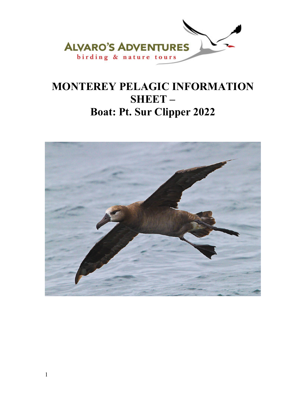

# **MONTEREY PELAGIC INFORMATION SHEET – Boat: Pt. Sur Clipper 2022**

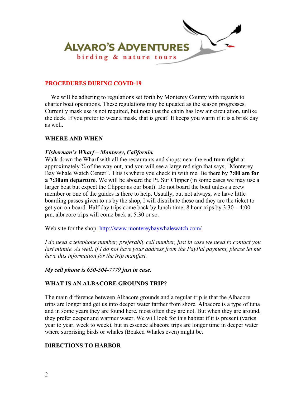

#### **PROCEDURES DURING COVID-19**

 We will be adhering to regulations set forth by Monterey County with regards to charter boat operations. These regulations may be updated as the season progresses. Currently mask use is not required, but note that the cabin has low air circulation, unlike the deck. If you prefer to wear a mask, that is great! It keeps you warm if it is a brisk day as well.

#### **WHERE AND WHEN**

#### *Fisherman's Wharf – Monterey, California.*

Walk down the Wharf with all the restaurants and shops; near the end **turn right** at approximately ¾ of the way out, and you will see a large red sign that says, "Monterey Bay Whale Watch Center". This is where you check in with me. Be there by **7:00 am for a 7:30am departure**. We will be aboard the Pt. Sur Clipper (in some cases we may use a larger boat but expect the Clipper as our boat). Do not board the boat unless a crew member or one of the guides is there to help. Usually, but not always, we have little boarding passes given to us by the shop, I will distribute these and they are the ticket to get you on board. Half day trips come back by lunch time; 8 hour trips by 3:30 – 4:00 pm, albacore trips will come back at 5:30 or so.

Web site for the shop: http://www.montereybaywhalewatch.com/

*I do need a telephone number, preferably cell number, just in case we need to contact you last minute. As well, if I do not have your address from the PayPal payment, please let me have this information for the trip manifest.* 

*My cell phone is 650-504-7779 just in case.* 

## **WHAT IS AN ALBACORE GROUNDS TRIP?**

The main difference between Albacore grounds and a regular trip is that the Albacore trips are longer and get us into deeper water farther from shore. Albacore is a type of tuna and in some years they are found here, most often they are not. But when they are around, they prefer deeper and warmer water. We will look for this habitat if it is present (varies year to year, week to week), but in essence albacore trips are longer time in deeper water where surprising birds or whales (Beaked Whales even) might be.

## **DIRECTIONS TO HARBOR**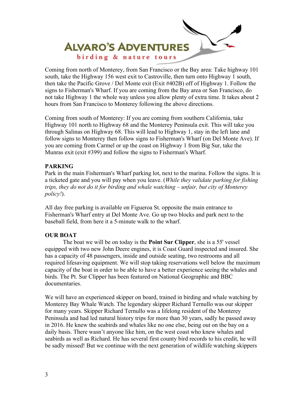

Coming from north of Monterey, from San Francisco or the Bay area: Take highway 101 south, take the Highway 156 west exit to Castroville, then turn onto Highway 1 south, then take the Pacific Grove / Del Monte exit (Exit #402B) off of Highway 1. Follow the signs to Fisherman's Wharf. If you are coming from the Bay area or San Francisco, do not take Highway 1 the whole way unless you allow plenty of extra time. It takes about 2 hours from San Francisco to Monterey following the above directions.

Coming from south of Monterey: If you are coming from southern California, take Highway 101 north to Highway 68 and the Monterey Peninsula exit. This will take you through Salinas on Highway 68. This will lead to Highway 1, stay in the left lane and follow signs to Monterey then follow signs to Fisherman's Wharf (on Del Monte Ave). If you are coming from Carmel or up the coast on Highway 1 from Big Sur, take the Munras exit (exit #399) and follow the signs to Fisherman's Wharf.

#### **PARKING**

Park in the main Fisherman's Wharf parking lot, next to the marina. Follow the signs. It is a ticketed gate and you will pay when you leave. (*While they validate parking for fishing trips, they do not do it for birding and whale watching – unfair, but city of Monterey policy!*).

All day free parking is available on Figueroa St. opposite the main entrance to Fisherman's Wharf entry at Del Monte Ave. Go up two blocks and park next to the baseball field, from here it a 5-minute walk to the wharf.

## **OUR BOAT**

 The boat we will be on today is the **Point Sur Clipper**, she is a 55' vessel equipped with two new John Deere engines, it is Coast Guard inspected and insured. She has a capacity of 48 passengers, inside and outside seating, two restrooms and all required lifesaving equipment. We will stop taking reservations well below the maximum capacity of the boat in order to be able to have a better experience seeing the whales and birds. The Pt. Sur Clipper has been featured on National Geographic and BBC documentaries.

We will have an experienced skipper on board, trained in birding and whale watching by Monterey Bay Whale Watch. The legendary skipper Richard Ternullo was our skipper for many years. Skipper Richard Ternullo was a lifelong resident of the Monterey Peninsula and had led natural history trips for more than 30 years, sadly he passed away in 2016. He knew the seabirds and whales like no one else, being out on the bay on a daily basis. There wasn't anyone like him, on the west coast who knew whales and seabirds as well as Richard. He has several first county bird records to his credit, he will be sadly missed! But we continue with the next generation of wildlife watching skippers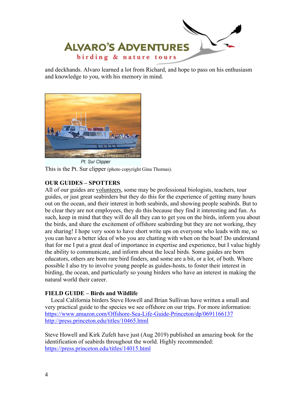

and deckhands. Alvaro learned a lot from Richard, and hope to pass on his enthusiasm and knowledge to you, with his memory in mind.



Pt. Sur Clipper This is the Pt. Sur clipper (photo copyright Gina Thomas).

# **OUR GUIDES – SPOTTERS**

All of our guides are volunteers, some may be professional biologists, teachers, tour guides, or just great seabirders but they do this for the experience of getting many hours out on the ocean, and their interest in both seabirds, and showing people seabirds. But to be clear they are not employees, they do this because they find it interesting and fun. As such, keep in mind that they will do all they can to get you on the birds, inform you about the birds, and share the excitement of offshore seabirding but they are not working, they are sharing! I hope very soon to have short write ups on everyone who leads with me, so you can have a better idea of who you are chatting with when on the boat! Do understand that for me I put a great deal of importance in expertise and experience, but I value highly the ability to communicate, and inform about the local birds. Some guides are born educators, others are born rare bird finders, and some are a bit, or a lot, of both. Where possible I also try to involve young people as guides-hosts, to foster their interest in birding, the ocean, and particularly so young birders who have an interest in making the natural world their career.

# **FIELD GUIDE – Birds and Wildlife**

 Local California birders Steve Howell and Brian Sullivan have written a small and very practical guide to the species we see offshore on our trips. For more information: https://www.amazon.com/Offshore-Sea-Life-Guide-Princeton/dp/0691166137 http://press.princeton.edu/titles/10465.html

Steve Howell and Kirk Zufelt have just (Aug 2019) published an amazing book for the identification of seabirds throughout the world. Highly recommended: https://press.princeton.edu/titles/14015.html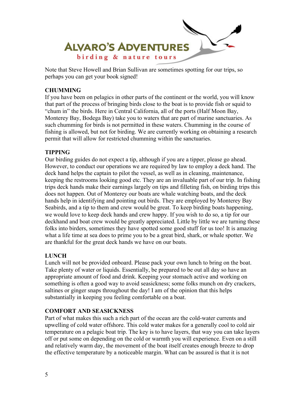

Note that Steve Howell and Brian Sullivan are sometimes spotting for our trips, so perhaps you can get your book signed!

# **CHUMMING**

If you have been on pelagics in other parts of the continent or the world, you will know that part of the process of bringing birds close to the boat is to provide fish or squid to "chum in" the birds. Here in Central California, all of the ports (Half Moon Bay, Monterey Bay, Bodega Bay) take you to waters that are part of marine sanctuaries. As such chumming for birds is not permitted in these waters. Chumming in the course of fishing is allowed, but not for birding. We are currently working on obtaining a research permit that will allow for restricted chumming within the sanctuaries.

## **TIPPING**

Our birding guides do not expect a tip, although if you are a tipper, please go ahead. However, to conduct our operations we are required by law to employ a deck hand. The deck hand helps the captain to pilot the vessel, as well as in cleaning, maintenance, keeping the restrooms looking good etc. They are an invaluable part of our trip. In fishing trips deck hands make their earnings largely on tips and filleting fish, on birding trips this does not happen. Out of Monterey our boats are whale watching boats, and the deck hands help in identifying and pointing out birds. They are employed by Monterey Bay Seabirds, and a tip to them and crew would be great. To keep birding boats happening, we would love to keep deck hands and crew happy. If you wish to do so, a tip for our deckhand and boat crew would be greatly appreciated. Little by little we are turning these folks into birders, sometimes they have spotted some good stuff for us too! It is amazing what a life time at sea does to prime you to be a great bird, shark, or whale spotter. We are thankful for the great deck hands we have on our boats.

## **LUNCH**

Lunch will not be provided onboard. Please pack your own lunch to bring on the boat. Take plenty of water or liquids. Essentially, be prepared to be out all day so have an appropriate amount of food and drink. Keeping your stomach active and working on something is often a good way to avoid seasickness; some folks munch on dry crackers, saltines or ginger snaps throughout the day! I am of the opinion that this helps substantially in keeping you feeling comfortable on a boat.

## **COMFORT AND SEASICKNESS**

Part of what makes this such a rich part of the ocean are the cold-water currents and upwelling of cold water offshore. This cold water makes for a generally cool to cold air temperature on a pelagic boat trip. The key is to have layers, that way you can take layers off or put some on depending on the cold or warmth you will experience. Even on a still and relatively warm day, the movement of the boat itself creates enough breeze to drop the effective temperature by a noticeable margin. What can be assured is that it is not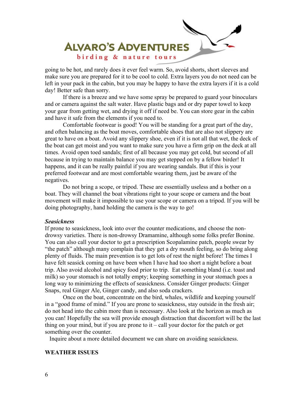

going to be hot, and rarely does it ever feel warm. So, avoid shorts, short sleeves and make sure you are prepared for it to be cool to cold. Extra layers you do not need can be left in your pack in the cabin, but you may be happy to have the extra layers if it is a cold day! Better safe than sorry.

 If there is a breeze and we have some spray be prepared to guard your binoculars and or camera against the salt water. Have plastic bags and or dry paper towel to keep your gear from getting wet, and drying it off if need be. You can store gear in the cabin and have it safe from the elements if you need to.

 Comfortable footwear is good! You will be standing for a great part of the day, and often balancing as the boat moves, comfortable shoes that are also not slippery are great to have on a boat. Avoid any slippery shoe, even if it is not all that wet, the deck of the boat can get moist and you want to make sure you have a firm grip on the deck at all times. Avoid open toed sandals; first of all because you may get cold, but second of all because in trying to maintain balance you may get stepped on by a fellow birder! It happens, and it can be really painful if you are wearing sandals. But if this is your preferred footwear and are most comfortable wearing them, just be aware of the negatives.

 Do not bring a scope, or tripod. These are essentially useless and a bother on a boat. They will channel the boat vibrations right to your scope or camera and the boat movement will make it impossible to use your scope or camera on a tripod. If you will be doing photography, hand holding the camera is the way to go!

#### *Seasickness*

If prone to seasickness, look into over the counter medications, and choose the nondrowsy varieties. There is non-drowsy Dramamine, although some folks prefer Bonine. You can also call your doctor to get a prescription Scopalamine patch, people swear by "the patch" although many complain that they get a dry mouth feeling, so do bring along plenty of fluids. The main prevention is to get lots of rest the night before! The times I have felt seasick coming on have been when I have had too short a night before a boat trip. Also avoid alcohol and spicy food prior to trip. Eat something bland (i.e. toast and milk) so your stomach is not totally empty; keeping something in your stomach goes a long way to minimizing the effects of seasickness. Consider Ginger products: Ginger Snaps, real Ginger Ale, Ginger candy, and also soda crackers.

 Once on the boat, concentrate on the bird, whales, wildlife and keeping yourself in a "good frame of mind." If you are prone to seasickness, stay outside in the fresh air; do not head into the cabin more than is necessary. Also look at the horizon as much as you can! Hopefully the sea will provide enough distraction that discomfort will be the last thing on your mind, but if you are prone to  $it - call$  your doctor for the patch or get something over the counter.

Inquire about a more detailed document we can share on avoiding seasickness.

#### **WEATHER ISSUES**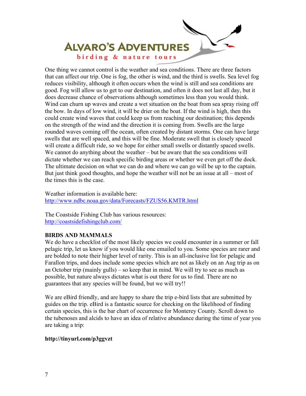

One thing we cannot control is the weather and sea conditions. There are three factors that can affect our trip. One is fog, the other is wind, and the third is swells. Sea level fog reduces visibility, although it often occurs when the wind is still and sea conditions are good. Fog will allow us to get to our destination, and often it does not last all day, but it does decrease chance of observations although sometimes less than you would think. Wind can churn up waves and create a wet situation on the boat from sea spray rising off the bow. In days of low wind, it will be drier on the boat. If the wind is high, then this could create wind waves that could keep us from reaching our destination; this depends on the strength of the wind and the direction it is coming from. Swells are the large rounded waves coming off the ocean, often created by distant storms. One can have large swells that are well spaced, and this will be fine. Moderate swell that is closely spaced will create a difficult ride, so we hope for either small swells or distantly spaced swells. We cannot do anything about the weather – but be aware that the sea conditions will dictate whether we can reach specific birding areas or whether we even get off the dock. The ultimate decision on what we can do and where we can go will be up to the captain. But just think good thoughts, and hope the weather will not be an issue at all – most of the times this is the case.

Weather information is available here: http://www.ndbc.noaa.gov/data/Forecasts/FZUS56.KMTR.html

The Coastside Fishing Club has various resources: http://coastsidefishingclub.com/

## **BIRDS AND MAMMALS**

We do have a checklist of the most likely species we could encounter in a summer or fall pelagic trip, let us know if you would like one emailed to you. Some species are rarer and are bolded to note their higher level of rarity. This is an all-inclusive list for pelagic and Farallon trips, and does include some species which are not as likely on an Aug trip as on an October trip (mainly gulls) – so keep that in mind. We will try to see as much as possible, but nature always dictates what is out there for us to find. There are no guarantees that any species will be found, but we will try!!

We are eBird friendly, and are happy to share the trip e-bird lists that are submitted by guides on the trip. eBird is a fantastic source for checking on the likelihood of finding certain species, this is the bar chart of occurrence for Monterey County. Scroll down to the tubenoses and alcids to have an idea of relative abundance during the time of year you are taking a trip:

## **http://tinyurl.com/p3ggvzt**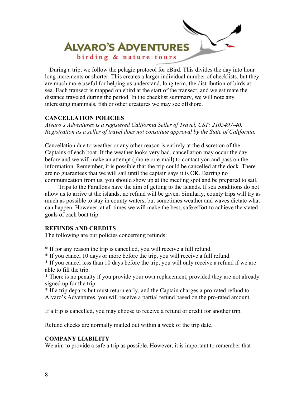

 During a trip, we follow the pelagic protocol for eBird. This divides the day into hour long increments or shorter. This creates a larger individual number of checklists, but they are much more useful for helping us understand, long term, the distribution of birds at sea. Each transect is mapped on ebird at the start of the transect, and we estimate the distance traveled during the period. In the checklist summary, we will note any interesting mammals, fish or other creatures we may see offshore.

#### **CANCELLATION POLICIES**

*Alvaro's Adventures is a registered California Seller of Travel, CST: 2105497-40, Registration as a seller of travel does not constitute approval by the State of California.* 

Cancellation due to weather or any other reason is entirely at the discretion of the Captains of each boat. If the weather looks very bad, cancellation may occur the day before and we will make an attempt (phone or e-mail) to contact you and pass on the information. Remember, it is possible that the trip could be cancelled at the dock. There are no guarantees that we will sail until the captain says it is OK. Barring no communication from us, you should show up at the meeting spot and be prepared to sail.

 Trips to the Farallons have the aim of getting to the islands. If sea conditions do not allow us to arrive at the islands, no refund will be given. Similarly, county trips will try as much as possible to stay in county waters, but sometimes weather and waves dictate what can happen. However, at all times we will make the best, safe effort to achieve the stated goals of each boat trip.

## **REFUNDS AND CREDITS**

The following are our policies concerning refunds:

\* If for any reason the trip is cancelled, you will receive a full refund.

\* If you cancel 10 days or more before the trip, you will receive a full refund.

\* If you cancel less than 10 days before the trip, you will only receive a refund if we are able to fill the trip.

\* There is no penalty if you provide your own replacement, provided they are not already signed up for the trip.

\* If a trip departs but must return early, and the Captain charges a pro-rated refund to Alvaro's Adventures, you will receive a partial refund based on the pro-rated amount.

If a trip is cancelled, you may choose to receive a refund or credit for another trip.

Refund checks are normally mailed out within a week of the trip date.

## **COMPANY LIABILITY**

We aim to provide a safe a trip as possible. However, it is important to remember that